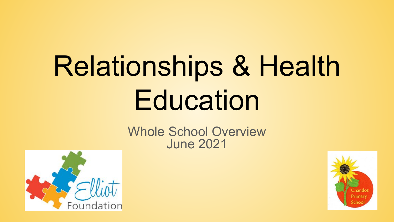# Relationships & Health **Education**

## Whole School Overview June 2021



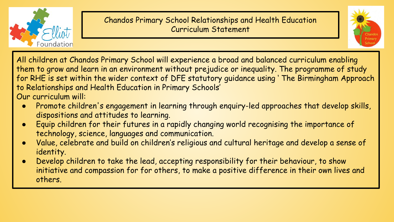

## Chandos Primary School Relationships and Health Education Curriculum Statement



All children at Chandos Primary School will experience a broad and balanced curriculum enabling them to grow and learn in an environment without prejudice or inequality. The programme of study for RHE is set within the wider context of DFE statutory guidance using ' The Birmingham Approach to Relationships and Health Education in Primary Schools' Our curriculum will:

- Promote children's engagement in learning through enquiry-led approaches that develop skills, dispositions and attitudes to learning.
- Equip children for their futures in a rapidly changing world recognising the importance of technology, science, languages and communication.
- Value, celebrate and build on children's religious and cultural heritage and develop a sense of identity.
- Develop children to take the lead, accepting responsibility for their behaviour, to show initiative and compassion for for others, to make a positive difference in their own lives and others.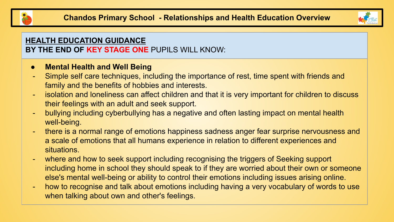



#### **HEALTH EDUCATION GUIDANCE BY THE END OF KEY STAGE ONE** PUPILS WILL KNOW:

#### **● Mental Health and Well Being**

- Simple self care techniques, including the importance of rest, time spent with friends and family and the benefits of hobbies and interests.
- isolation and loneliness can affect children and that it is very important for children to discuss their feelings with an adult and seek support.
- bullying including cyberbullying has a negative and often lasting impact on mental health well-being.
- there is a normal range of emotions happiness sadness anger fear surprise nervousness and a scale of emotions that all humans experience in relation to different experiences and situations.
- where and how to seek support including recognising the triggers of Seeking support including home in school they should speak to if they are worried about their own or someone else's mental well-being or ability to control their emotions including issues arising online.
- how to recognise and talk about emotions including having a very vocabulary of words to use when talking about own and other's feelings.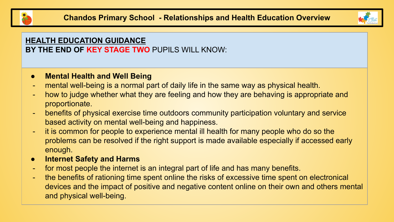



## **HEALTH EDUCATION GUIDANCE BY THE END OF KEY STAGE TWO** PUPILS WILL KNOW:

#### **● Mental Health and Well Being**

- mental well-being is a normal part of daily life in the same way as physical health.
- how to judge whether what they are feeling and how they are behaving is appropriate and proportionate.
- benefits of physical exercise time outdoors community participation voluntary and service based activity on mental well-being and happiness.
- it is common for people to experience mental ill health for many people who do so the problems can be resolved if the right support is made available especially if accessed early enough.
- **● Internet Safety and Harms**
- for most people the internet is an integral part of life and has many benefits.
- the benefits of rationing time spent online the risks of excessive time spent on electronical devices and the impact of positive and negative content online on their own and others mental and physical well-being.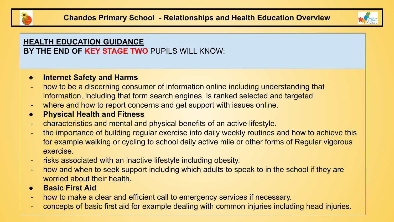



#### **HEALTH EDUCATION GUIDANCE BY THE END OF KEY STAGE TWO** PUPILS WILL KNOW:

#### **● Internet Safety and Harms**

- how to be a discerning consumer of information online including understanding that information, including that form search engines, is ranked selected and targeted.
- where and how to report concerns and get support with issues online.
- **● Physical Health and Fitness**
- characteristics and mental and physical benefits of an active lifestyle.
- the importance of building regular exercise into daily weekly routines and how to achieve this for example walking or cycling to school daily active mile or other forms of Regular vigorous exercise.
- risks associated with an inactive lifestyle including obesity.
- how and when to seek support including which adults to speak to in the school if they are worried about their health.
- **● Basic First Aid**
- how to make a clear and efficient call to emergency services if necessary.
- concepts of basic first aid for example dealing with common injuries including head injuries.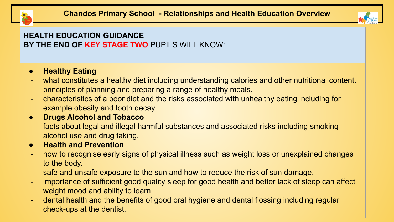



## **HEALTH EDUCATION GUIDANCE**

**BY THE END OF KEY STAGE TWO** PUPILS WILL KNOW:

## **● Healthy Eating**

- what constitutes a healthy diet including understanding calories and other nutritional content.
- principles of planning and preparing a range of healthy meals.
- characteristics of a poor diet and the risks associated with unhealthy eating including for example obesity and tooth decay.

## **● Drugs Alcohol and Tobacco**

- facts about legal and illegal harmful substances and associated risks including smoking alcohol use and drug taking.
- **● Health and Prevention**
- how to recognise early signs of physical illness such as weight loss or unexplained changes to the body.
- safe and unsafe exposure to the sun and how to reduce the risk of sun damage.
- importance of sufficient good quality sleep for good health and better lack of sleep can affect weight mood and ability to learn.
- dental health and the benefits of good oral hygiene and dental flossing including regular check-ups at the dentist.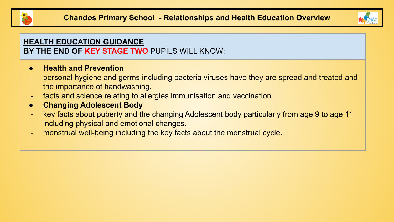



#### **HEALTH EDUCATION GUIDANCE BY THE END OF KEY STAGE TWO** PUPILS WILL KNOW:

#### **● Health and Prevention**

- personal hygiene and germs including bacteria viruses have they are spread and treated and the importance of handwashing.
- facts and science relating to allergies immunisation and vaccination.
- **● Changing Adolescent Body**
- key facts about puberty and the changing Adolescent body particularly from age 9 to age 11 including physical and emotional changes.
- menstrual well-being including the key facts about the menstrual cycle.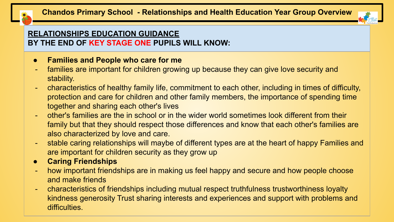



## **RELATIONSHIPS EDUCATION GUIDANCE BY THE END OF KEY STAGE ONE PUPILS WILL KNOW:**

- **● Families and People who care for me**
- families are important for children growing up because they can give love security and stability.
- characteristics of healthy family life, commitment to each other, including in times of difficulty, protection and care for children and other family members, the importance of spending time together and sharing each other's lives
- other's families are the in school or in the wider world sometimes look different from their family but that they should respect those differences and know that each other's families are also characterized by love and care.
- stable caring relationships will maybe of different types are at the heart of happy Families and are important for children security as they grow up
- **● Caring Friendships**
- how important friendships are in making us feel happy and secure and how people choose and make friends
- characteristics of friendships including mutual respect truthfulness trustworthiness loyalty kindness generosity Trust sharing interests and experiences and support with problems and difficulties.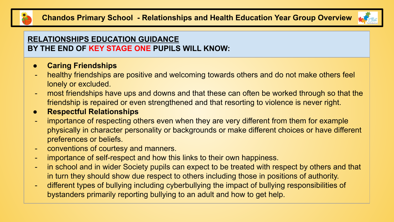



## **RELATIONSHIPS EDUCATION GUIDANCE BY THE END OF KEY STAGE ONE PUPILS WILL KNOW:**

## **● Caring Friendships**

- healthy friendships are positive and welcoming towards others and do not make others feel lonely or excluded.
- most friendships have ups and downs and that these can often be worked through so that the friendship is repaired or even strengthened and that resorting to violence is never right.

## **● Respectful Relationships**

- importance of respecting others even when they are very different from them for example physically in character personality or backgrounds or make different choices or have different preferences or beliefs.
- conventions of courtesy and manners.
- importance of self-respect and how this links to their own happiness.
- in school and in wider Society pupils can expect to be treated with respect by others and that in turn they should show due respect to others including those in positions of authority.
- different types of bullying including cyberbullying the impact of bullying responsibilities of bystanders primarily reporting bullying to an adult and how to get help.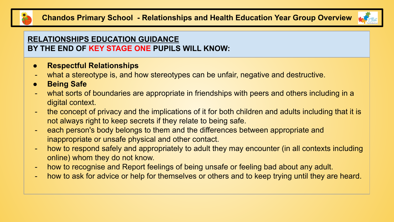



## **RELATIONSHIPS EDUCATION GUIDANCE BY THE END OF KEY STAGE ONE PUPILS WILL KNOW:**

- **● Respectful Relationships**
- what a stereotype is, and how stereotypes can be unfair, negative and destructive.
- **● Being Safe**
- what sorts of boundaries are appropriate in friendships with peers and others including in a digital context.
- the concept of privacy and the implications of it for both children and adults including that it is not always right to keep secrets if they relate to being safe.
- each person's body belongs to them and the differences between appropriate and inappropriate or unsafe physical and other contact.
- how to respond safely and appropriately to adult they may encounter (in all contexts including online) whom they do not know.
- how to recognise and Report feelings of being unsafe or feeling bad about any adult.
- how to ask for advice or help for themselves or others and to keep trying until they are heard.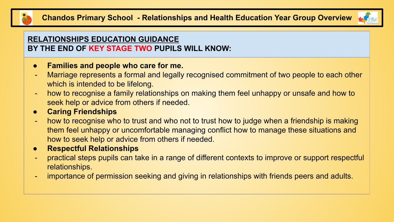



## **RELATIONSHIPS EDUCATION GUIDANCE BY THE END OF KEY STAGE TWO PUPILS WILL KNOW:**

### **● Families and people who care for me.**

- Marriage represents a formal and legally recognised commitment of two people to each other which is intended to be lifelong.
- how to recognise a family relationships on making them feel unhappy or unsafe and how to seek help or advice from others if needed.
- **● Caring Friendships**
- how to recognise who to trust and who not to trust how to judge when a friendship is making them feel unhappy or uncomfortable managing conflict how to manage these situations and how to seek help or advice from others if needed.
- **● Respectful Relationships**
- practical steps pupils can take in a range of different contexts to improve or support respectful relationships.
- importance of permission seeking and giving in relationships with friends peers and adults.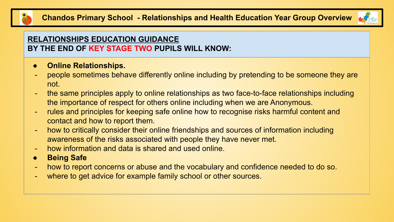



## **RELATIONSHIPS EDUCATION GUIDANCE BY THE END OF KEY STAGE TWO PUPILS WILL KNOW:**

- **● Online Relationships.**
- people sometimes behave differently online including by pretending to be someone they are not.
- the same principles apply to online relationships as two face-to-face relationships including the importance of respect for others online including when we are Anonymous.
- rules and principles for keeping safe online how to recognise risks harmful content and contact and how to report them.
- how to critically consider their online friendships and sources of information including awareness of the risks associated with people they have never met.
- how information and data is shared and used online.
- **● Being Safe**
- how to report concerns or abuse and the vocabulary and confidence needed to do so.
- where to get advice for example family school or other sources.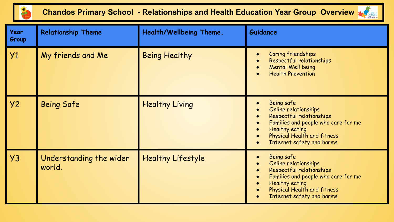

# **Chandos Primary School - Relationships and Health Education Year Group Overview**  $\frac{1}{2}$



| <b>Year</b><br>Group | <b>Relationship Theme</b>         | Health/Wellbeing Theme.  | <b>Guidance</b>                                                                                                                                                                                                      |
|----------------------|-----------------------------------|--------------------------|----------------------------------------------------------------------------------------------------------------------------------------------------------------------------------------------------------------------|
| Y1                   | My friends and Me                 | <b>Being Healthy</b>     | Caring friendships<br>Respectful relationships<br><b>Mental Well being</b><br><b>Health Prevention</b>                                                                                                               |
| <b>Y2</b>            | <b>Being Safe</b>                 | <b>Healthy Living</b>    | Being safe<br>Online relationships<br>Respectful relationships<br>Families and people who care for me<br><b>Healthy eating</b><br>Physical Health and fitness<br>Internet safety and harms                           |
| Y3                   | Understanding the wider<br>world. | <b>Healthy Lifestyle</b> | Being safe<br>Online relationships<br>Respectful relationships<br>Families and people who care for me<br>$\bullet$<br><b>Healthy eating</b><br>$\bullet$<br>Physical Health and fitness<br>Internet safety and harms |